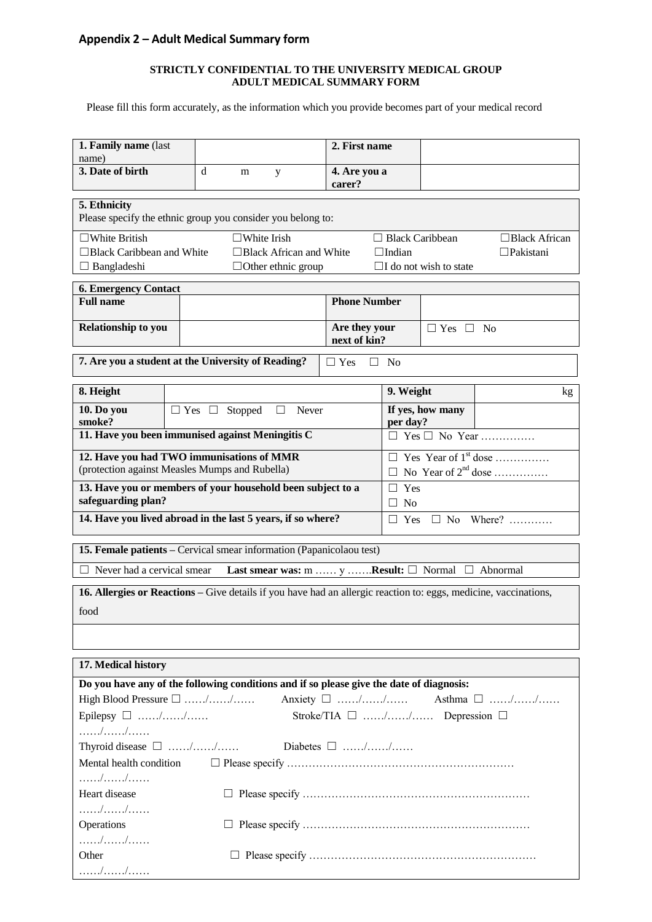## **Appendix 2 – Adult Medical Summary form**

## **STRICTLY CONFIDENTIAL TO THE UNIVERSITY MEDICAL GROUP ADULT MEDICAL SUMMARY FORM**

Please fill this form accurately, as the information which you provide becomes part of your medical record

| 1. Family name (last                                                                                             |  |   |                           |                                                             | 2. First name                                   |                                                                                   |                                                |                                    |  |  |  |
|------------------------------------------------------------------------------------------------------------------|--|---|---------------------------|-------------------------------------------------------------|-------------------------------------------------|-----------------------------------------------------------------------------------|------------------------------------------------|------------------------------------|--|--|--|
| name)<br>3. Date of birth                                                                                        |  | d | m                         |                                                             | 4. Are you a                                    |                                                                                   |                                                |                                    |  |  |  |
|                                                                                                                  |  |   |                           | y                                                           | carer?                                          |                                                                                   |                                                |                                    |  |  |  |
| 5. Ethnicity                                                                                                     |  |   |                           |                                                             |                                                 |                                                                                   |                                                |                                    |  |  |  |
| Please specify the ethnic group you consider you belong to:                                                      |  |   |                           |                                                             |                                                 |                                                                                   |                                                |                                    |  |  |  |
| $\square$ White British<br>$\square$ White Irish                                                                 |  |   |                           |                                                             |                                                 |                                                                                   | $\Box$ Black Caribbean<br>$\Box$ Black African |                                    |  |  |  |
| □Black Caribbean and White<br>□Black African and White                                                           |  |   |                           |                                                             |                                                 |                                                                                   | □Pakistani<br>$\Box$ Indian                    |                                    |  |  |  |
| $\Box$ Bangladeshi<br>$\Box$ Other ethnic group<br>$\Box$ I do not wish to state                                 |  |   |                           |                                                             |                                                 |                                                                                   |                                                |                                    |  |  |  |
| <b>6. Emergency Contact</b>                                                                                      |  |   |                           |                                                             |                                                 |                                                                                   |                                                |                                    |  |  |  |
| <b>Full name</b>                                                                                                 |  |   |                           |                                                             | <b>Phone Number</b>                             |                                                                                   |                                                |                                    |  |  |  |
| <b>Relationship to you</b>                                                                                       |  |   |                           |                                                             | Are they your<br>$\Box$ Yes $\Box$<br><b>No</b> |                                                                                   |                                                |                                    |  |  |  |
|                                                                                                                  |  |   |                           |                                                             |                                                 |                                                                                   | next of kin?                                   |                                    |  |  |  |
| 7. Are you a student at the University of Reading?<br>$\Box$ Yes<br>П.<br>No                                     |  |   |                           |                                                             |                                                 |                                                                                   |                                                |                                    |  |  |  |
| 8. Height                                                                                                        |  |   |                           |                                                             |                                                 | 9. Weight                                                                         | kg                                             |                                    |  |  |  |
| 10. Do you                                                                                                       |  |   | $\Box$ Yes $\Box$ Stopped | Never<br>⊔                                                  |                                                 |                                                                                   | If yes, how many                               |                                    |  |  |  |
| smoke?<br>11. Have you been immunised against Meningitis C                                                       |  |   |                           |                                                             |                                                 | per day?                                                                          |                                                | $\Box$ Yes $\Box$ No Year          |  |  |  |
|                                                                                                                  |  |   |                           |                                                             |                                                 |                                                                                   |                                                |                                    |  |  |  |
| 12. Have you had TWO immunisations of MMR<br>(protection against Measles Mumps and Rubella)                      |  |   |                           |                                                             |                                                 | $\Box$ Yes Year of 1 <sup>st</sup> dose<br>$\Box$ No Year of 2 <sup>nd</sup> dose |                                                |                                    |  |  |  |
|                                                                                                                  |  |   |                           |                                                             |                                                 | Yes<br>П                                                                          |                                                |                                    |  |  |  |
| 13. Have you or members of your household been subject to a<br>safeguarding plan?                                |  |   |                           |                                                             |                                                 |                                                                                   | $\Box$ No                                      |                                    |  |  |  |
| 14. Have you lived abroad in the last 5 years, if so where?                                                      |  |   |                           |                                                             |                                                 | Yes $\Box$ No Where?<br>$\Box$                                                    |                                                |                                    |  |  |  |
| 15. Female patients - Cervical smear information (Papanicolaou test)                                             |  |   |                           |                                                             |                                                 |                                                                                   |                                                |                                    |  |  |  |
| Never had a cervical smear                                                                                       |  |   |                           | Last smear was: m $y$ Result: $\Box$ Normal $\Box$ Abnormal |                                                 |                                                                                   |                                                |                                    |  |  |  |
|                                                                                                                  |  |   |                           |                                                             |                                                 |                                                                                   |                                                |                                    |  |  |  |
| 16. Allergies or Reactions – Give details if you have had an allergic reaction to: eggs, medicine, vaccinations, |  |   |                           |                                                             |                                                 |                                                                                   |                                                |                                    |  |  |  |
| food                                                                                                             |  |   |                           |                                                             |                                                 |                                                                                   |                                                |                                    |  |  |  |
|                                                                                                                  |  |   |                           |                                                             |                                                 |                                                                                   |                                                |                                    |  |  |  |
|                                                                                                                  |  |   |                           |                                                             |                                                 |                                                                                   |                                                |                                    |  |  |  |
| 17. Medical history                                                                                              |  |   |                           |                                                             |                                                 |                                                                                   |                                                |                                    |  |  |  |
| Do you have any of the following conditions and if so please give the date of diagnosis:                         |  |   |                           |                                                             |                                                 |                                                                                   |                                                |                                    |  |  |  |
| High Blood Pressure $\Box$ //                                                                                    |  |   |                           |                                                             |                                                 |                                                                                   |                                                | Anxiety $\Box$ // Asthma $\Box$ // |  |  |  |
| Stroke/TIA □ // Depression □<br>Epilepsy $\Box$ //                                                               |  |   |                           |                                                             |                                                 |                                                                                   |                                                |                                    |  |  |  |
|                                                                                                                  |  |   |                           |                                                             |                                                 |                                                                                   |                                                |                                    |  |  |  |
| Thyroid disease $\Box$ //                                                                                        |  |   |                           |                                                             |                                                 |                                                                                   |                                                |                                    |  |  |  |
| Mental health condition                                                                                          |  |   |                           |                                                             |                                                 |                                                                                   |                                                |                                    |  |  |  |
|                                                                                                                  |  |   |                           |                                                             |                                                 |                                                                                   |                                                |                                    |  |  |  |
| Heart disease                                                                                                    |  |   |                           |                                                             |                                                 |                                                                                   |                                                |                                    |  |  |  |
| Operations                                                                                                       |  |   |                           |                                                             |                                                 |                                                                                   |                                                |                                    |  |  |  |
|                                                                                                                  |  |   |                           |                                                             |                                                 |                                                                                   |                                                |                                    |  |  |  |
| Other                                                                                                            |  |   |                           |                                                             |                                                 |                                                                                   |                                                |                                    |  |  |  |
|                                                                                                                  |  |   |                           |                                                             |                                                 |                                                                                   |                                                |                                    |  |  |  |
|                                                                                                                  |  |   |                           |                                                             |                                                 |                                                                                   |                                                |                                    |  |  |  |